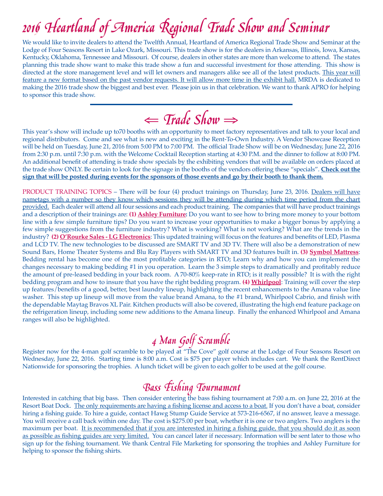We would like to invite dealers to attend the Twelfth Annual, Heartland of America Regional Trade Show and Seminar at the Lodge of Four Seasons Resort in Lake Ozark, Missouri. This trade show is for the dealers in Arkansas, Illinois, Iowa, Kansas, Kentucky, Oklahoma, Tennessee and Missouri. Of course, dealers in other states are more than welcome to attend. The states planning this trade show want to make this trade show a fun and successful investment for those attending. This show is directed at the store management level and will let owners and managers alike see all of the latest products. This year will feature a new format based on the past vendor requests. It will allow more time in the exhibit hall. MRDA is dedicated to making the 2016 trade show the biggest and best ever. Please join us in that celebration. We want to thank APRO for helping to sponsor this trade show.

⇐ Trade Show<sup>⇒</sup>

This year's show will include up to70 booths with an opportunity to meet factory representatives and talk to your local and regional distributors. Come and see what is new and exciting in the Rent-To-Own Industry. A Vendor Showcase Reception will be held on Tuesday, June 21, 2016 from 5:00 PM to 7:00 PM. The official Trade Show will be on Wednesday, June 22, 2016 from 2:30 p.m. until 7:30 p.m. with the Welcome Cocktail Reception starting at 4:30 P.M. and the dinner to follow at 8:00 PM. An additional benefit of attending is trade show specials by the exhibiting vendors that will be available on orders placed at the trade show ONLY. Be certain to look for the signage in the booths of the vendors offering these "specials". **Check out the sign that will be posted during events for the sponsors of those events and go by their booth to thank them.**

PRODUCT TRAINING TOPICS – There will be four (4) product trainings on Thursday, June 23, 2016. Dealers will have nametags with a number so they know which sessions they will be attending during which time period from the chart provided. Each dealer will attend all four sessions and each product training. The companies that will have product trainings and a description of their trainings are: **(1) Ashley Furniture:** Do you want to see how to bring more money to your bottom line with a few simple furniture tips? Do you want to increase your opportunities to make a bigger bonus by applying a few simple suggestions from the furniture industry? What is working? What is not working? What are the trends in the industry? **(2) O'Rourke Sales - LG Electronics**: This updated training will focus on the features and benefits of LED, Plasma and LCD TV. The new technologies to be discussed are SMART TV and 3D TV. There will also be a demonstration of new Sound Bars, Home Theater Systems and Blu Ray Players with SMART TV and 3D features built in. **(3) Symbol Mattress**: Bedding rental has become one of the most profitable categories in RTO; Learn why and how you can implement the changes necessary to making bedding #1 in you operation. Learn the 3 simple steps to dramatically and profitably reduce the amount of pre-leased bedding in your back room. A 70-80% keep-rate in RTO; is it really possible? It is with the right bedding program and how to insure that you have the right bedding program. **(4) Whirlpool**: Training will cover the step up features/benefits of a good, better, best laundry lineup, highlighting the recent enhancements to the Amana value line washer. This step up lineup will move from the value brand Amana, to the #1 brand, Whirlpool Cabrio, and finish with the dependable Maytag Bravos XL Pair. Kitchen products will also be covered, illustrating the high end feature package on the refrigeration lineup, including some new additions to the Amana lineup. Finally the enhanced Whirlpool and Amana ranges will also be highlighted.

**4** 2000 **CONTERCT SCRAMB TO SET AND FOR SET A** FOR SERVICE THE Register now for the 4-man golf scramble to be played at "The Cove" golf course at the Lodge of Four Seasons Resort on Wednesday, June 22, 2016. Starting time is 8:00 a.m. Cost is \$75 per player which includes cart. We thank the RentDirect Nationwide for sponsoring the trophies. A lunch ticket will be given to each golfer to be used at the golf course.

**Bass Fishing Tournament**<br>Interested in catching that big bass. Then consider entering the bass fishing tournament at 7:00 a.m. on June 22, 2016 at the Resort Boat Dock. The only requirements are having a fishing license and access to a boat. If you don't have a boat, consider hiring a fishing guide. To hire a guide, contact Hawg Stump Guide Service at 573-216-6567, if no answer, leave a message. You will receive a call back within one day. The cost is \$275.00 per boat, whether it is one or two anglers. Two anglers is the maximum per boat. It is recommended that if you are interested in hiring a fishing guide, that you should do it as soon as possible as fishing guides are very limited. You can cancel later if necessary. Information will be sent later to those who sign up for the fishing tournament. We thank Central File Marketing for sponsoring the trophies and Ashley Furniture for helping to sponsor the fishing shirts.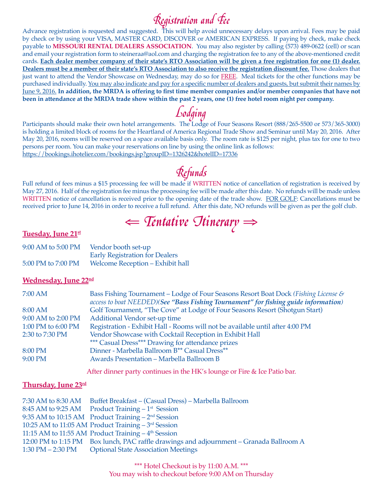$\mathcal{R}$ egistration and  $\mathcal{F}$ ee Advance registration is requested and suggested. This will help avoid unnecessary delays upon arrival. Fees may be paid by check or by using your VISA, MASTER CARD, DISCOVER or AMERICAN EXPRESS. If paying by check, make check payable to **MISSOURI RENTAL DEALERS ASSOCIATION**. You may also register by calling (573) 489-0622 (cell) or scan and email your registration form to steineraa@aol.com and charging the registration fee to any of the above-mentioned credit cards. **Each dealer member company of their state's RTO Association will be given a free registration for one (1) dealer. Dealers must be a member of their state's RTO Association to also receive the registration discount fee.** Those dealers that just want to attend the Vendor Showcase on Wednesday, may do so for FREE. Meal tickets for the other functions may be purchased individually. You may also indicate and pay for a specific number of dealers and guests, but submit their names by June 9, 2016. **In addition, the MRDA is offering to first time member companies and/or member companies that have not been in attendance at the MRDA trade show within the past 2 years, one (1) free hotel room night per company.**

Lodging<br>Participants should make their own hotel arrangements. The Lodge of Four Seasons Resort (888/265-5500 or 573/365-3000) is holding a limited block of rooms for the Heartland of America Regional Trade Show and Seminar until May 20, 2016. After May 20, 2016, rooms will be reserved on a space available basis only. The room rate is \$125 per night, plus tax for one to two persons per room. You can make your reservations on line by using the online link as follows: https://bookings.ihotelier.com/bookings.jsp?groupID=1326242&hotelID=17336

Full refund of fees minus a \$15 processing fee will be made if WRITTEN notice of cancellation of registration is received by May 27, 2016. Half of the registration fee minus the processing fee will be made after this date. No refunds will be made unless WRITTEN notice of cancellation is received prior to the opening date of the trade show. FOR GOLF: Cancellations must be received prior to June 14, 2016 in order to receive a full refund. After this date, NO refunds will be given as per the golf club.

⇐ Tentative Itinerary<sup>⇒</sup>

### **Tuesday, June 21st**

| 9:00 AM to 5:00 PM | Vendor booth set-up                   |  |
|--------------------|---------------------------------------|--|
|                    | <b>Early Registration for Dealers</b> |  |
| 5:00 PM to 7:00 PM | Welcome Reception - Exhibit hall      |  |

# **Wednesday, June 22nd**

| 7:00 AM            | Bass Fishing Tournament – Lodge of Four Seasons Resort Boat Dock (Fishing License & |
|--------------------|-------------------------------------------------------------------------------------|
|                    | access to boat NEEDED)(See "Bass Fishing Tournament" for fishing guide information) |
| 8:00 AM            | Golf Tournament, "The Cove" at Lodge of Four Seasons Resort (Shotgun Start)         |
| 9:00 AM to 2:00 PM | Additional Vendor set-up time                                                       |
| 1:00 PM to 6:00 PM | Registration - Exhibit Hall - Rooms will not be available until after 4:00 PM       |
| 2:30 to 7:30 PM    | Vendor Showcase with Cocktail Reception in Exhibit Hall                             |
|                    | *** Casual Dress*** Drawing for attendance prizes                                   |
| 8:00 PM            | Dinner - Marbella Ballroom B <sup>**</sup> Casual Dress <sup>**</sup>               |
| 9:00 PM            | Awards Presentation - Marbella Ballroom B                                           |
|                    |                                                                                     |

After dinner party continues in the HK's lounge or Fire & Ice Patio bar.

### **Thursday, June 23rd**

|                   | 7:30 AM to 8:30 AM Buffet Breakfast – (Casual Dress) – Marbella Ballroom                |
|-------------------|-----------------------------------------------------------------------------------------|
|                   | 8:45 AM to 9:25 AM Product Training $-1$ <sup>st</sup> Session                          |
|                   | 9:35 AM to 10:15 AM Product Training $-2nd$ Session                                     |
|                   | 10:25 AM to 11:05 AM Product Training $-3rd$ Session                                    |
|                   | 11:15 AM to 11:55 AM Product Training $-4th$ Session                                    |
|                   | 12:00 PM to 1:15 PM Box lunch, PAC raffle drawings and adjournment – Granada Ballroom A |
| 1:30 PM – 2:30 PM | <b>Optional State Association Meetings</b>                                              |

\*\*\* Hotel Checkout is by 11:00 A.M. \*\*\* You may wish to checkout before 9:00 AM on Thursday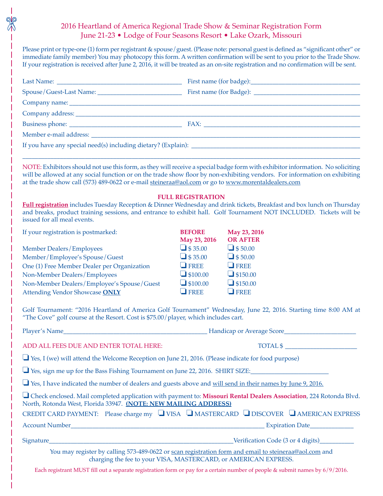# 2016 Heartland of America Regional Trade Show & Seminar Registration Form June 21-23 • Lodge of Four Seasons Resort • Lake Ozark, Missouri

Please print or type-one (1) form per registrant & spouse/guest. (Please note: personal guest is defined as "significant other" or immediate family member) You may photocopy this form. A written confirmation will be sent to you prior to the Trade Show. If your registration is received after June 2, 2016, it will be treated as an on-site registration and no confirmation will be sent.

| NOTE: Exhibitors should not use this form, as they will receive a special badge form with exhibitor information. No soliciting<br>will be allowed at any social function or on the trade show floor by non-exhibiting vendors. For information on exhibiting<br>at the trade show call (573) 489-0622 or e-mail steineraa@aol.com or go to www.morentaldealers.com |                               |                                 |  |  |  |
|--------------------------------------------------------------------------------------------------------------------------------------------------------------------------------------------------------------------------------------------------------------------------------------------------------------------------------------------------------------------|-------------------------------|---------------------------------|--|--|--|
| Full registration includes Tuesday Reception & Dinner Wednesday and drink tickets, Breakfast and box lunch on Thursday<br>and breaks, product training sessions, and entrance to exhibit hall. Golf Tournament NOT INCLUDED. Tickets will be<br>issued for all meal events.                                                                                        | <b>FULL REGISTRATION</b>      |                                 |  |  |  |
| If your registration is postmarked:                                                                                                                                                                                                                                                                                                                                | <b>BEFORE</b><br>May 23, 2016 | May 23, 2016<br><b>OR AFTER</b> |  |  |  |
| Member Dealers/Employees                                                                                                                                                                                                                                                                                                                                           | $\Box$ \$35.00                | $\Box$ \$50.00                  |  |  |  |
| Member/Employee's Spouse/Guest                                                                                                                                                                                                                                                                                                                                     | $\Box$ \$35.00                | $\Box$ \$50.00                  |  |  |  |
| One (1) Free Member Dealer per Organization                                                                                                                                                                                                                                                                                                                        | $\Box$ FREE                   | $\Box$ FREE                     |  |  |  |
| Non-Member Dealers/Employees                                                                                                                                                                                                                                                                                                                                       | $\Box$ \$100.00               | $\Box$ \$150.00                 |  |  |  |
| Non-Member Dealers/Employee's Spouse/Guest                                                                                                                                                                                                                                                                                                                         | $\Box$ \$100.00               | $\Box$ \$150.00                 |  |  |  |
| Attending Vendor Showcase ONLY                                                                                                                                                                                                                                                                                                                                     | $\Box$ FREE                   | $\Box$ FREE                     |  |  |  |
| Golf Tournament: "2016 Heartland of America Golf Tournament" Wednesday, June 22, 2016. Starting time 8:00 AM at<br>"The Cove" golf course at the Resort. Cost is \$75.00/player, which includes cart.                                                                                                                                                              |                               |                                 |  |  |  |
|                                                                                                                                                                                                                                                                                                                                                                    |                               |                                 |  |  |  |
| ADD ALL FEES DUE AND ENTER TOTAL HERE:                                                                                                                                                                                                                                                                                                                             |                               | TOTAL \$                        |  |  |  |
| $\Box$ Yes, I (we) will attend the Welcome Reception on June 21, 2016. (Please indicate for food purpose)                                                                                                                                                                                                                                                          |                               |                                 |  |  |  |
| Yes, sign me up for the Bass Fishing Tournament on June 22, 2016. SHIRT SIZE:                                                                                                                                                                                                                                                                                      |                               |                                 |  |  |  |
| Yes, I have indicated the number of dealers and guests above and will send in their names by June 9, 2016.                                                                                                                                                                                                                                                         |                               |                                 |  |  |  |
| □ Check enclosed. Mail completed application with payment to: Missouri Rental Dealers Association, 224 Rotonda Blvd.<br>North, Rotonda West, Florida 33947. (NOTE: NEW MAILING ADDRESS)                                                                                                                                                                            |                               |                                 |  |  |  |
| CREDIT CARD PAYMENT: Please charge my U VISA U MASTERCARD U DISCOVER U AMERICAN EXPRESS                                                                                                                                                                                                                                                                            |                               |                                 |  |  |  |
|                                                                                                                                                                                                                                                                                                                                                                    |                               |                                 |  |  |  |
|                                                                                                                                                                                                                                                                                                                                                                    |                               |                                 |  |  |  |
| You may register by calling 573-489-0622 or scan registration form and email to steineraa@aol.com and<br>charging the fee to your VISA, MASTERCARD, or AMERICAN EXPRESS.                                                                                                                                                                                           |                               |                                 |  |  |  |

Each registrant MUST fill out a separate registration form or pay for a certain number of people & submit names by 6/9/2016.